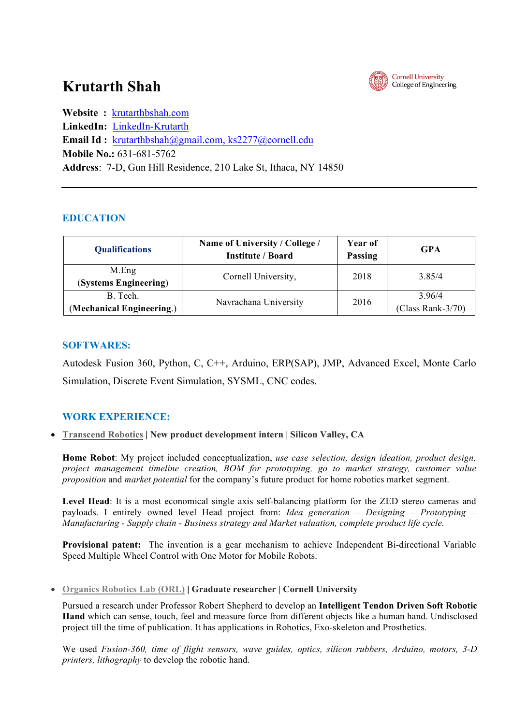# **Krutarth Shah**



**Website :** krutarthbshah.com **LinkedIn:** LinkedIn-Krutarth **Email Id :** krutarthbshah@gmail.com, ks2277@cornell.edu **Mobile No.:** 631-681-5762 **Address**: 7-D, Gun Hill Residence, 210 Lake St, Ithaca, NY 14850

# **EDUCATION**

| <b>Qualifications</b>                 | Name of University / College /<br><b>Institute / Board</b> | Year of<br><b>Passing</b> | <b>GPA</b>                    |
|---------------------------------------|------------------------------------------------------------|---------------------------|-------------------------------|
| M.Eng<br>(Systems Engineering)        | Cornell University,                                        | 2018                      | 3 8 5 / 4                     |
| B. Tech.<br>(Mechanical Engineering.) | Navrachana University                                      | 2016                      | 3.96/4<br>$(Class Rank-3/70)$ |

# **SOFTWARES:**

Autodesk Fusion 360, Python, C, C++, Arduino, ERP(SAP), JMP, Advanced Excel, Monte Carlo Simulation, Discrete Event Simulation, SYSML, CNC codes.

# **WORK EXPERIENCE:**

• **Transcend Robotics | New product development intern | Silicon Valley, CA**

**Home Robot**: My project included conceptualization, *use case selection, design ideation, product design, project management timeline creation, BOM for prototyping, go to market strategy, customer value proposition* and *market potential* for the company's future product for home robotics market segment.

**Level Head**: It is a most economical single axis self-balancing platform for the ZED stereo cameras and payloads. I entirely owned level Head project from: *Idea generation – Designing – Prototyping – Manufacturing - Supply chain - Business strategy and Market valuation, complete product life cycle.*

**Provisional patent:** The invention is a gear mechanism to achieve Independent Bi-directional Variable Speed Multiple Wheel Control with One Motor for Mobile Robots.

• **Organics Robotics Lab (ORL) | Graduate researcher | Cornell University**

Pursued a research under Professor Robert Shepherd to develop an **Intelligent Tendon Driven Soft Robotic Hand** which can sense, touch, feel and measure force from different objects like a human hand. Undisclosed project till the time of publication. It has applications in Robotics, Exo-skeleton and Prosthetics.

We used *Fusion-360, time of flight sensors, wave guides, optics, silicon rubbers, Arduino, motors, 3-D printers, lithography* to develop the robotic hand.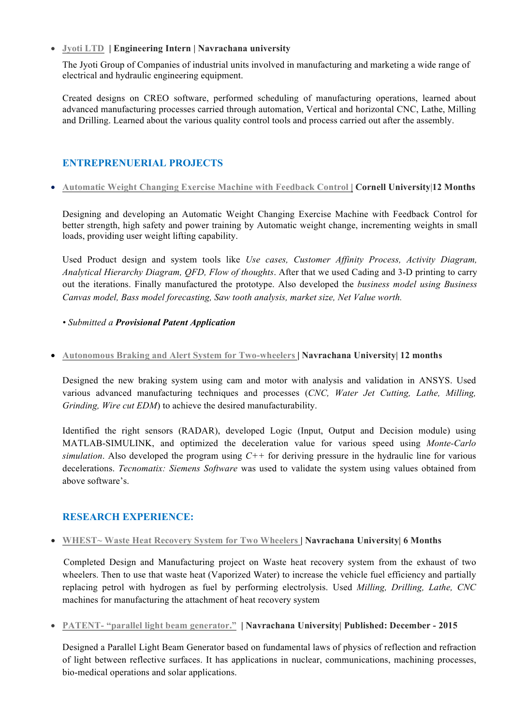• **Jyoti LTD | Engineering Intern | Navrachana university** 

The Jyoti Group of Companies of industrial units involved in manufacturing and marketing a wide range of electrical and hydraulic engineering equipment.

Created designs on CREO software, performed scheduling of manufacturing operations, learned about advanced manufacturing processes carried through automation, Vertical and horizontal CNC, Lathe, Milling and Drilling. Learned about the various quality control tools and process carried out after the assembly.

## **ENTREPRENUERIAL PROJECTS**

## • **Automatic Weight Changing Exercise Machine with Feedback Control | Cornell University**|**12 Months**

Designing and developing an Automatic Weight Changing Exercise Machine with Feedback Control for better strength, high safety and power training by Automatic weight change, incrementing weights in small loads, providing user weight lifting capability.

Used Product design and system tools like *Use cases, Customer Affinity Process, Activity Diagram, Analytical Hierarchy Diagram, QFD, Flow of thoughts*. After that we used Cading and 3-D printing to carry out the iterations. Finally manufactured the prototype. Also developed the *business model using Business Canvas model, Bass model forecasting, Saw tooth analysis, market size, Net Value worth.*

## *• Submitted a Provisional Patent Application*

#### • **Autonomous Braking and Alert System for Two-wheelers | Navrachana University| 12 months**

Designed the new braking system using cam and motor with analysis and validation in ANSYS. Used various advanced manufacturing techniques and processes (*CNC, Water Jet Cutting, Lathe, Milling, Grinding, Wire cut EDM*) to achieve the desired manufacturability.

Identified the right sensors (RADAR), developed Logic (Input, Output and Decision module) using MATLAB-SIMULINK, and optimized the deceleration value for various speed using *Monte-Carlo simulation*. Also developed the program using *C++* for deriving pressure in the hydraulic line for various decelerations. *Tecnomatix: Siemens Software* was used to validate the system using values obtained from above software's.

## **RESEARCH EXPERIENCE:**

• **WHEST~ Waste Heat Recovery System for Two Wheelers | Navrachana University| 6 Months**

 Completed Design and Manufacturing project on Waste heat recovery system from the exhaust of two wheelers. Then to use that waste heat (Vaporized Water) to increase the vehicle fuel efficiency and partially replacing petrol with hydrogen as fuel by performing electrolysis. Used *Milling, Drilling, Lathe, CNC*  machines for manufacturing the attachment of heat recovery system

• **PATENT- "parallel light beam generator." | Navrachana University| Published: December - 2015**

Designed a Parallel Light Beam Generator based on fundamental laws of physics of reflection and refraction of light between reflective surfaces. It has applications in nuclear, communications, machining processes, bio-medical operations and solar applications.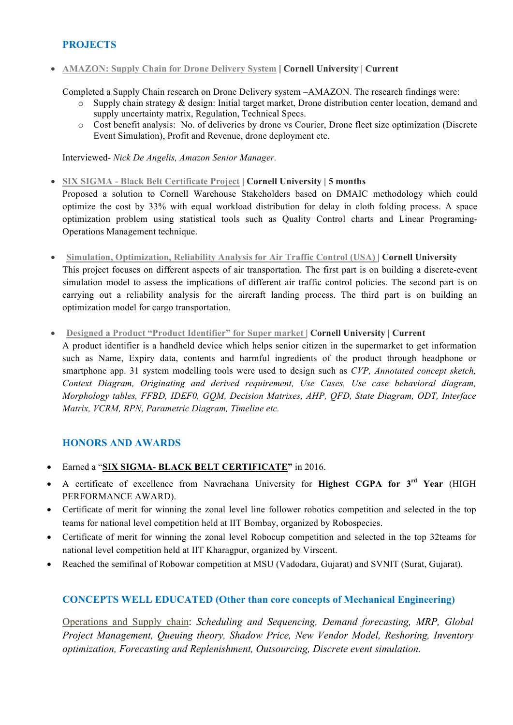## **PROJECTS**

• **AMAZON: Supply Chain for Drone Delivery System | Cornell University | Current**

Completed a Supply Chain research on Drone Delivery system –AMAZON. The research findings were:

- $\circ$  Supply chain strategy & design: Initial target market. Drone distribution center location, demand and supply uncertainty matrix, Regulation, Technical Specs.
- o Cost benefit analysis: No. of deliveries by drone vs Courier, Drone fleet size optimization (Discrete Event Simulation), Profit and Revenue, drone deployment etc.

Interviewed- *Nick De Angelis, Amazon Senior Manager.*

- **SIX SIGMA - Black Belt Certificate Project | Cornell University | 5 months** Proposed a solution to Cornell Warehouse Stakeholders based on DMAIC methodology which could optimize the cost by 33% with equal workload distribution for delay in cloth folding process. A space optimization problem using statistical tools such as Quality Control charts and Linear Programing-Operations Management technique.
- **Simulation, Optimization, Reliability Analysis for Air Traffic Control (USA) | Cornell University**  This project focuses on different aspects of air transportation. The first part is on building a discrete-event simulation model to assess the implications of different air traffic control policies. The second part is on carrying out a reliability analysis for the aircraft landing process. The third part is on building an optimization model for cargo transportation.
- **Designed a Product "Product Identifier" for Super market | Cornell University | Current** A product identifier is a handheld device which helps senior citizen in the supermarket to get information such as Name, Expiry data, contents and harmful ingredients of the product through headphone or smartphone app. 31 system modelling tools were used to design such as *CVP, Annotated concept sketch, Context Diagram, Originating and derived requirement, Use Cases, Use case behavioral diagram, Morphology tables, FFBD, IDEF0, GQM, Decision Matrixes, AHP, QFD, State Diagram, ODT, Interface*

## **HONORS AND AWARDS**

• Earned a "**SIX SIGMA- BLACK BELT CERTIFICATE"** in 2016.

*Matrix, VCRM, RPN, Parametric Diagram, Timeline etc.*

- A certificate of excellence from Navrachana University for **Highest CGPA for 3rd Year** (HIGH PERFORMANCE AWARD).
- Certificate of merit for winning the zonal level line follower robotics competition and selected in the top teams for national level competition held at IIT Bombay, organized by Robospecies.
- Certificate of merit for winning the zonal level Robocup competition and selected in the top 32teams for national level competition held at IIT Kharagpur, organized by Virscent.
- Reached the semifinal of Robowar competition at MSU (Vadodara, Gujarat) and SVNIT (Surat, Gujarat).

# **CONCEPTS WELL EDUCATED (Other than core concepts of Mechanical Engineering)**

Operations and Supply chain: *Scheduling and Sequencing, Demand forecasting, MRP, Global Project Management, Queuing theory, Shadow Price, New Vendor Model, Reshoring, Inventory optimization, Forecasting and Replenishment, Outsourcing, Discrete event simulation.*